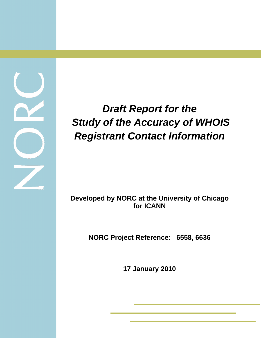# *Draft Report for the Study of the Accuracy of WHOIS Registrant Contact Information*

# **Developed by NORC at the University of Chicago for ICANN**

**NORC Project Reference: 6558, 6636** 

**17 January 2010** 

í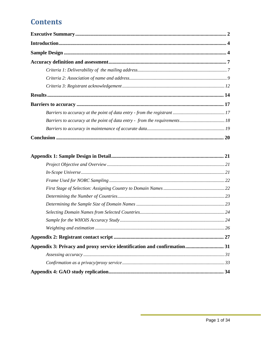# **Contents**

| Appendix 3: Privacy and proxy service identification and confirmation 31 |  |
|--------------------------------------------------------------------------|--|
|                                                                          |  |
|                                                                          |  |
|                                                                          |  |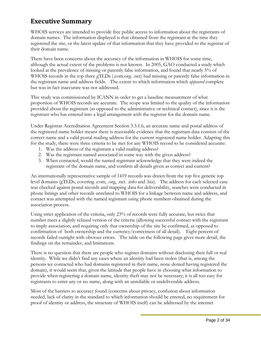# <span id="page-2-0"></span>**Executive Summary**

WHOIS services are intended to provide free public access to information about the registrants of domain names. The information displayed is that obtained from the registrant at the time they registered the site, or the latest update of that information that they have provided to the registrar of their domain name.

There have been concerns about the accuracy of the information in WHOIS for some time, although the actual extent of the problems is not known. In 2005, GAO conducted a study which looked at the prevalence of missing or patently false information, and found that nearly 5% of WHOIS records in the top three gTLDs (.com.org. .net) had missing or patently false information in the registrant name and address fields. The extent to which information which *appeared* complete but was in fact inaccurate was not addressed.

This study was commissioned by ICANN in order to get a baseline measurement of what proportion of WHOIS records are accurate. The scope was limited to the quality of the information provided about the registrant (as opposed to the administrative or technical contact), since it is the registrant who has entered into a legal arrangement with the registrar for the domain name.

Under Registrar Accreditation Agreement Section 3.3.1.6, an accurate name and postal address of the registered name holder means there is reasonable evidence that the registrant data consists of the correct name and a valid postal mailing address for the current registered name holder. Adapting this for the study, there were three criteria to be met for any WHOIS record to be considered accurate:

- 1. Was the address of the registrant a valid mailing address?
- 2. Was the registrant named associated in some way with the given address?
- 3. When contacted, would the named registrant acknowledge that they were indeed the registrant of the domain name, and confirm all details given as correct and current?

An internationally representative sample of 1419 records was drawn from the top five generic top level domains (gTLDs, covering .com, .org, .net. .info and .biz). The address for each selected case was checked against postal records and mapping data for deliverability, searches were conducted in phone listings and other records unrelated to WHOIS for a linkage between name and address, and contact was attempted with the named registrant using phone numbers obtained during the association process.

Using strict application of the criteria, only 23% of records were fully accurate, but twice that number meet a slightly relaxed version of the criteria (allowing successful contact with the registrant to imply association, and requiring only that ownership of the site be confirmed, as opposed to confirmation of both ownership and the currency/correctness of all detail). Eight percent of records failed outright with obvious errors. The table on the following page gives more detail, the findings on the remainder, and limitations.

There is no question that there are people who register domains without disclosing their full or real identity. While we didn't find any cases where an identity had been stolen (that is, among the persons we contacted who had domains registered in their name, none denied having registered the domain), it would seem that, given the latitude that people have in choosing what information to provide when registering a domain name, identity theft may not be necessary; it is all too easy for registrants to enter any or no name, along with an unreliable or undeliverable address.

Most of the barriers to accuracy found (concerns about privacy, confusion about information needed, lack of clarity in the standard to which information should be entered, no requirement for proof of identity or address, the structure of WHOIS itself) can be addressed by the internet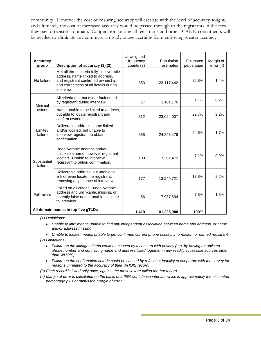community. However the cost of ensuring accuracy will escalate with the level of accuracy sought, and ultimately the cost of increased accuracy would be passed through to the registrants in the fees they pay to register a domain. Cooperation among all registrants and other ICANN constituents will be needed to eliminate any commercial disadvantage accruing from enforcing greater accuracy.

| <b>Accuracy</b><br>group | Description of accuracy (1),(2)                                                                                                                                            | Unweighted<br>frequency<br>counts (3) | Population<br>estimates | Estimated<br>percentage | Margin of<br>error $(4)$ |
|--------------------------|----------------------------------------------------------------------------------------------------------------------------------------------------------------------------|---------------------------------------|-------------------------|-------------------------|--------------------------|
| No failure               | Met all three criteria fully - deliverable<br>address, name linked to address,<br>and registrant confirmed ownership<br>and correctness of all details during<br>interview | 353                                   | 23,117,442              | 22.8%                   | 1.4%                     |
| Minimal                  | All criteria met but minor fault noted<br>by registrant during interview                                                                                                   | 17                                    | 1,101,176               | 1.1%                    | 0.2%                     |
| failure                  | Name unable to be linked to address.<br>but able to locate registrant and<br>confirm ownership                                                                             | 312                                   | 23,024,007              | 22.7%                   | 2.2%                     |
| Limited<br>failure       | Deliverable address, name linked<br>and/or located, but unable to<br>interview registrant to obtain<br>confirmation.                                                       | 365                                   | 24,893,476              | 24.6%                   | 1.7%                     |
| Substantial<br>failure   | Undeliverable address and/or<br>unlinkable name, however registrant<br>located. Unable to interview<br>registrant to obtain confirmation.                                  | 109                                   | 7,202,472               | 7.1%                    | 0.9%                     |
|                          | Deliverable address, but unable to<br>link or even locate the registrant,<br>removing any chance of interview.                                                             | 177                                   | 13,949,721              | 13.8%                   | 2.2%                     |
| Full failure             | Failed on all criteria - undeliverable<br>address and unlinkable, missing, or<br>patently false name, unable to locate<br>to interview                                     | 86                                    | 7,937,694               | 7.8%                    | 1.8%                     |
|                          | All domain names in top five gTLDs                                                                                                                                         | 1.419                                 | 101,225,988             | 100%                    |                          |

*(1) Definitions:* 

- *Unable to link: means unable to find any independent association between name and address, or name and/or address missing*
- *Unable to locate: means unable to get confirmed current phone contact information for named registrant*

*(2) Limitations:* 

- *Failure on the linkage criteria could be caused by a concern with privacy (e.g. by having an unlisted phone number and not having name and address listed together in any readily accessible sources other than WHOIS)*
- *Failure on the confirmation criteria could be caused by refusal or inability to cooperate with the survey for reasons unrelated to the accuracy of their WHOIS record.*
- *(3) Each record is listed only once, against the most severe failing for that record.*
- *(4) Margin of error is calculated on the basis of a 95% confidence interval, which is approximately the estimated percentage plus or minus the margin of error.*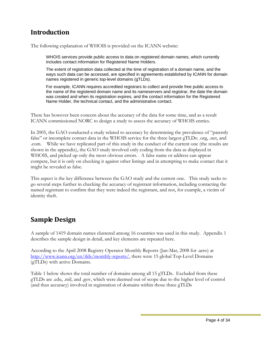# <span id="page-4-0"></span>**Introduction**

The following explanation of WHOIS is provided on the ICANN website:

WHOIS services provide public access to data on registered domain names, which currently includes contact information for Registered Name Holders.

The extent of registration data collected at the time of registration of a domain name, and the ways such data can be accessed, are specified in agreements established by ICANN for domain names registered in generic top-level domains (gTLDs).

For example, ICANN requires accredited registrars to collect and provide free public access to the name of the registered domain name and its nameservers and registrar, the date the domain was created and when its registration expires, and the contact information for the Registered Name Holder, the technical contact, and the administrative contact.

There has however been concern about the accuracy of the data for some time, and as a result ICANN commissioned NORC to design a study to assess the accuracy of WHOIS entries.

In 2005, the GAO conducted a study related to accuracy by determining the prevalence of "patently false" or incomplete contact data in the WHOIS service for the three largest gTLDs: .org, .net, and .com. While we have replicated part of this study in the conduct of the current one (the results are shown in the appendix), the GAO study involved only coding from the data as displayed in WHOIS, and picked up only the most obvious errors. A false name or address can appear compete, but it is only on checking it against other listings and in attempting to make contact that it might be revealed as false.

This aspect is the key difference between the GAO study and the current one. This study seeks to go several steps further in checking the accuracy of registrant information, including contacting the named registrant to confirm that they were indeed the registrant, and not, for example, a victim of identity theft.

# **Sample Design**

A sample of 1419 domain names clustered among 16 countries was used in this study. Appendix 1 describes the sample design in detail, and key elements are repeated here.

According to the April 2008 Registry Operator Monthly Reports (Jan-Mar, 2008 for .aero) at <http://www.icann.org/en/tlds/monthly-reports/>, there were 15 global Top-Level Domains (gTLDs) with active Domains.

Table 1 below shows the total number of domains among all 15 gTLDs. Excluded from these gTLDs are .edu, .mil, and .gov, which were deemed out of scope due to the higher level of control (and thus accuracy) involved in registration of domains within those three gTLDs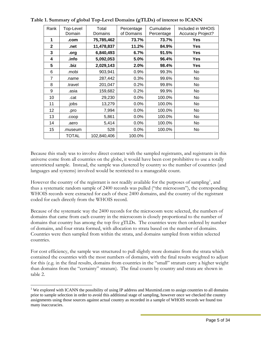| Rank           | Top-Level<br>Domain | Total<br>Domains | Percentage<br>of Domains | Cumulative<br>Percentage | Included in WHOIS<br><b>Accuracy Project?</b> |
|----------------|---------------------|------------------|--------------------------|--------------------------|-----------------------------------------------|
| 1              | .com                | 75,785,462       | 73.7%                    | 73.7%                    | <b>Yes</b>                                    |
| $\mathbf{2}$   | .net                | 11,478,837       | 11.2%                    | 84.9%                    | Yes                                           |
| 3              | .org                | 6,840,493        | 6.7%                     | 91.5%                    | Yes                                           |
| 4              | .info               | 5,092,053        | 5.0%                     | 96.4%                    | Yes                                           |
| 5              | .biz                | 2,029,143        | 2.0%                     | 98.4%                    | Yes                                           |
| 6              | .mobi               | 903,941          | 0.9%                     | 99.3%                    | No                                            |
| $\overline{7}$ | .name               | 287,442          | 0.3%                     | 99.6%                    | No                                            |
| 8              | .travel             | 201,047          | 0.2%                     | 99.8%                    | No                                            |
| 9              | .asia               | 159,682          | 0.2%                     | 99.9%                    | No                                            |
| 10             | .cat                | 29,230           | 0.0%                     | 100.0%                   | No                                            |
| 11             | .jobs               | 13,279           | 0.0%                     | 100.0%                   | No                                            |
| 12             | .pro                | 7,994            | 0.0%                     | 100.0%                   | <b>No</b>                                     |
| 13             | .coop               | 5,861            | 0.0%                     | 100.0%                   | No.                                           |
| 14             | .aero               | 5,414            | 0.0%                     | 100.0%                   | No.                                           |
| 15             | .museum             | 528              | 0.0%                     | 100.0%                   | No                                            |
|                | <b>TOTAL</b>        | 102,840,406      | 100.0%                   |                          |                                               |

**Table 1. Summary of global Top-Level Domains (gTLDs) of interest to ICANN** 

Because this study was to involve direct contact with the sampled registrants, and registrants in this universe come from all countries on the globe, it would have been cost prohibitive to use a totally unrestricted sample. Instead, the sample was clustered by country so the number of countries (and languages and systems) involved would be restricted to a manageable count.

However the country of the registrant is not readily available for the purposes of sampling<sup>[1](#page-5-0)</sup>, and thus a systematic random sample of 2400 records was pulled ("the microcosm"), the correspond ing WHOIS records were extracted for each of these 2400 domains, and the country of the registrant coded for each directly from the WHOIS record.

Because of the systematic way the 2400 records for the microcosm were selected, the numbers of domains that came from each country in the microcosm is closely proportional to the number of domains that country has among the top five gTLDs. The countries were then ordered by number of domains, and four strata formed, with allocation to strata based on the number of domains. Countries were then sampled from within the strata, and domains sampled from within selected countries.

For cost efficiency, the sample was structured to pull slightly more domains from the strata which contained the countries with the most numbers of domains, with the final results weighted to adjust for this (e.g. in the final results, domains from countries in the "small" stratum carry a higher weight than domains from the "certainty" stratum). The final counts by country and strata are shown in table 2.

 $\overline{a}$ 

<span id="page-5-0"></span><sup>&</sup>lt;sup>1</sup> We explored with ICANN the possibility of using IP address and Maxmind.com to assign countries to all domains prior to sample selection in order to avoid this additional stage of sampling, however once we checked the country assignments using those sources against actual country as recorded in a sample of WHOIS records we found too many inaccuracies.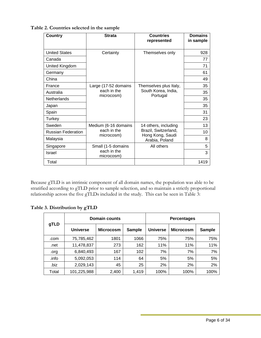| <b>Country</b>            | <b>Strata</b>             | <b>Countries</b><br>represented    | <b>Domains</b><br>in sample |
|---------------------------|---------------------------|------------------------------------|-----------------------------|
| <b>United States</b>      | Certainty                 | Themselves only                    | 928                         |
| Canada                    |                           |                                    | 77                          |
| United Kingdom            |                           |                                    | 71                          |
| Germany                   |                           |                                    | 61                          |
| China                     |                           |                                    | 49                          |
| France                    | Large (17-52 domains      | Themselves plus Italy,             | 35                          |
| Australia                 | each in the               | South Korea, India,                | 35                          |
| Netherlands               | microcosm)                | Portugal                           | 35                          |
| Japan                     |                           |                                    | 35                          |
| Spain                     |                           |                                    | 31                          |
| Turkey                    |                           |                                    | 23                          |
| Sweden                    | Medium (6-16 domains      | 14 others, including               | 13                          |
| <b>Russian Federation</b> | each in the               | Brazil, Switzerland,               | 10                          |
| Malaysia                  | microcosm)                | Hong Kong, Saudi<br>Arabia, Poland | 8                           |
| Singapore                 | Small (1-5 domains        | All others                         | 5                           |
| Israel                    | each in the<br>microcosm) |                                    | 3                           |
| Total                     |                           |                                    | 1419                        |

**Table 2. Countries selected in the sample** 

Because gTLD is an intrinsic component of all domain names, the population was able to be stratified according to gTLD prior to sample selection, and so maintain a strictly proportional relationship across the five gTLDs included in the study. This can be seen in Table 3:

**Table 3. Distribution by gTLD** 

|       | Domain counts   |                  |               |                 | <b>Percentages</b> |               |
|-------|-----------------|------------------|---------------|-----------------|--------------------|---------------|
| gTLD  | <b>Universe</b> | <b>Microcosm</b> | <b>Sample</b> | <b>Universe</b> | <b>Microcosm</b>   | <b>Sample</b> |
| .com  | 75,785,462      | 1801             | 1066          | 75%             | 75%                | 75%           |
| .net  | 11,478,837      | 273              | 162           | 11%             | 11%                | 11%           |
| .org  | 6,840,493       | 167              | 102           | 7%              | 7%                 | 7%            |
| .info | 5,092,053       | 114              | 64            | 5%              | 5%                 | 5%            |
| .biz  | 2,029,143       | 45               | 25            | 2%              | 2%                 | 2%            |
| Total | 101,225,988     | 2,400            | 1,419         | 100%            | 100%               | 100%          |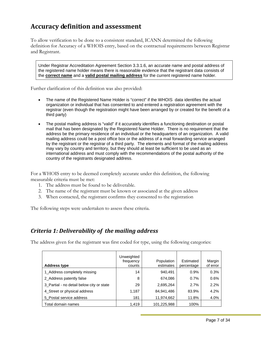# <span id="page-7-0"></span>**Accuracy definition and assessment**

To allow verification to be done to a consistent standard, ICANN determined the following definition for Accuracy of a WHOIS entry, based on the contractual requirements between Registrar and Registrant.

Under Registrar Accreditation Agreement Section 3.3.1.6, an accurate name and postal address of the registered name holder means there is reasonable evidence that the registrant data consists of the **correct name** and a **valid postal mailing address** for the current registered name holder.

Further clarification of this definition was also provided:

- The name of the Registered Name Holder is "correct" if the WHOIS data identifies the actual organization or individual that has consented to and entered a registration agreement with the registrar (even though the registration might have been arranged by or created for the benefit of a third party)
- The postal mailing address is "valid" if it accurately identifies a functioning destination or postal mail that has been designated by the Registered Name Holder. There is no requirement that the address be the primary residence of an individual or the headquarters of an organization. A valid mailing address could be a post office box or the address of a mail forwarding service arranged by the registrant or the registrar of a third party. The elements and format of the mailing address may vary by country and territory, but they should at least be sufficient to be used as an international address and must comply with the recommendations of the postal authority of the country of the registrants designated address.

For a WHOIS entry to be deemed completely accurate under this definition, the following measurable criteria must be met:

- 1. The address must be found to be deliverable.
- 2. The name of the registrant must be known or associated at the given address
- 3. When contacted, the registrant confirms they consented to the registration

The following steps were undertaken to assess these criteria.

### *Criteria 1: Deliverability of the mailing address*

The address given for the registrant was first coded for type, using the following categories:

| <b>Address type</b>                       | Unweighted<br>frequency<br>counts | Population<br>estimates | Estimated<br>percentage | Margin<br>of error |
|-------------------------------------------|-----------------------------------|-------------------------|-------------------------|--------------------|
| 1_Address completely missing              | 14                                | 940,491                 | 0.9%                    | 0.3%               |
| 2_Address patently false                  | 8                                 | 674,086                 | 0.7%                    | 0.6%               |
| 3 Partial - no detail below city or state | 29                                | 2,695,264               | 2.7%                    | 2.2%               |
| 4_Street or physical address              | 1,187                             | 84,941,486              | 83.9%                   | 4.2%               |
| 5 Postal service address                  | 181                               | 11,974,662              | 11.8%                   | 4.0%               |
| Total domain names                        | 1,419                             | 101,225,988             | 100%                    |                    |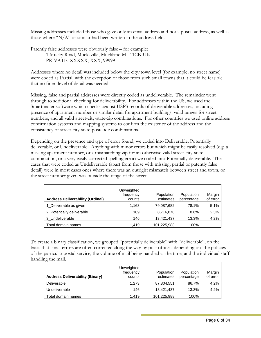Missing addresses included those who gave only an email address and not a postal address, as well as those where "N/A" or similar had been written in the address field.

Patently false addresses were obviously false – for example: 1 Mucky Road, Mucksville, Muckland MU11CK UK PRIVATE, XXXXX, XXX, 99999

Addresses where no detail was included below the city/town level (for example, no street name) were coded as Partial, with the exception of those from such small towns that it could be feasible that no finer level of detail was needed.

Missing, false and partial addresses were directly coded as undeliverable. The remainder went through to additional checking for deliverability. For addresses within the US, we used the Smartmailer software which checks against USPS records of deliverable addresses, including presence of apartment number or similar detail for apartment buildings, valid ranges for street numbers, and all valid street-city-state-zip combinations. For other countries we used online address confirmation systems and mapping systems to confirm the existence of the address and the consistency of street-city-state-postcode combinations.

Depending on the presence and type of error found, we coded into Deliverable, Potentially deliverable, or Undeliverable. Anything with minor errors but which might be easily resolved (e.g. a missing apartment number, or a mismatching zip for an otherwise valid street-city-state combination, or a very easily corrected spelling error) we coded into Potentially deliverable. The cases that were coded as Undeliverable (apart from those with missing, partial or patently false detail) were in most cases ones where there was an outright mismatch between street and town, or the street number given was outside the range of the street.

| <b>Address Deliverability (Ordinal)</b> | Unweighted<br>frequency<br>counts | Population<br>estimates | Population<br>percentage | Margin<br>of error |
|-----------------------------------------|-----------------------------------|-------------------------|--------------------------|--------------------|
| 1_Deliverable as given                  | 1,163                             | 79,087,682              | 78.1%                    | 5.1%               |
| 2_Potentially deliverable               | 109                               | 8,716,870               | 8.6%                     | 2.3%               |
| 3 Undeliverable                         | 146                               | 13,421,437              | 13.3%                    | 4.2%               |
| Total domain names                      | 1.419                             | 101,225,988             | 100%                     |                    |

To create a binary classification, we grouped "potentially deliverable" with "deliverable", on the basis that small errors are often corrected along the way by post offices, depending on the policies of the particular postal service, the volume of mail being handled at the time, and the individual staff handling the mail.

| <b>Address Deliverability (Binary)</b> | Unweighted<br>frequency<br>counts | Population<br>estimates | Population<br>percentage | Margin<br>of error |
|----------------------------------------|-----------------------------------|-------------------------|--------------------------|--------------------|
| Deliverable                            | 1,273                             | 87,804,551              | 86.7%                    | 4.2%               |
| Undeliverable                          | 146                               | 13.421.437              | 13.3%                    | 4.2%               |
| Total domain names                     | 1.419                             | 101,225,988             | 100%                     |                    |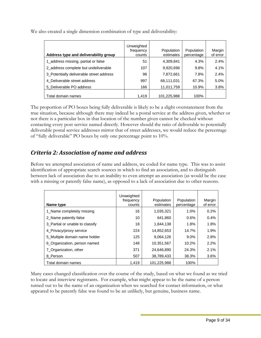| Address type and deliverability group    | Unweighted<br>frequency<br>counts | Population<br>estimates | Population<br>percentage | Margin<br>of error |
|------------------------------------------|-----------------------------------|-------------------------|--------------------------|--------------------|
| 1_address missing, partial or false      | 51                                | 4,309,841               | 4.3%                     | 2.4%               |
| 2_address complete but undeliverable     | 107                               | 9,920,696               | 9.8%                     | 4.1%               |
| 3 Potentially deliverable street address | 98                                | 7,872,661               | 7.8%                     | 2.4%               |
| 4 Deliverable street address             | 997                               | 68,111,031              | 67.3%                    | 5.0%               |
| 5 Deliverable PO address                 | 166                               | 11,011,759              | 10.9%                    | 3.8%               |
| Total domain names                       | 1.419                             | 101,225,988             | 100%                     |                    |

<span id="page-9-0"></span>We also created a single dimension combination of type and deliverability:

The proportion of PO boxes being fully deliverable is likely to be a slight overstatement from the true situation, because although there may indeed be a postal service at the address given, whether or not there is a particular box in that location of the number given cannot be checked without contacting every post service named directly. However should the ratio of deliverable to potentially deliverable postal service addresses mirror that of street addresses, we would reduce the percentage of "fully deliverable" PO boxes by only one percentage point to 10%.

# *Criteria 2: Association of name and address*

Before we attempted association of name and address, we coded for name type. This was to assist identification of appropriate search sources in which to find an association, and to distinguish between lack of association due to an inability to even attempt an association (as would be the case with a missing or patently false name), as opposed to a lack of association due to other reasons.

| Name type                       | Unweighted<br>frequency<br>counts | Population<br>estimates | Population<br>percentage | Margin<br>of error |
|---------------------------------|-----------------------------------|-------------------------|--------------------------|--------------------|
| 1 Name completely missing       | 16                                | 1,035,321               | 1.0%                     | 0.2%               |
| 2 Name patently false           | 10                                | 641,860                 | 0.6%                     | 0.4%               |
| 3 Partial or unable to classify | 18                                | 1,844,138               | 1.8%                     | 1.8%               |
| 4 Privacy/proxy service         | 224                               | 14,852,653              | 14.7%                    | 1.9%               |
| 5 Multiple domain name holder   | 125                               | 9,064,126               | 9.0%                     | 2.8%               |
| 6_Organization, person named    | 148                               | 10,351,567              | 10.2%                    | 2.2%               |
| 7 Organization, other           | 371                               | 24,646,890              | 24.3%                    | 2.1%               |
| 8 Person                        | 507                               | 38,789,433              | 38.3%                    | 3.6%               |
| Total domain names              | 1.419                             | 101,225,988             | 100%                     |                    |

Many cases changed classification over the course of the study, based on what we found as we tried to locate and interview registrants. For example, what might appear to be the name of a person turned out to be the name of an organization when we searched for contact information, or what appeared to be patently false was found to be an unlikely, but genuine, business name.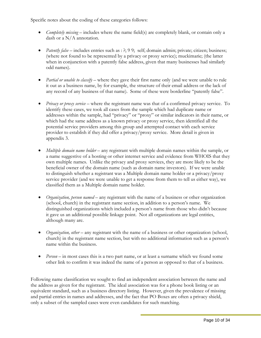Specific notes about the coding of these categories follows:

- *Completely missing* includes where the name field(s) are completely blank, or contain only a dash or a N/A annotation.
- *Patently false* includes entries such as : ?; 9 9; self; domain admin; private; citizen; business; (where not found to be represented by a privacy or proxy service); muckimarie; (the latter when in conjunction with a patently false address, given that many businesses had similarly odd names).
- *Partial or unable to classify* where they gave their first name only (and we were unable to rule it out as a business name, by for example, the structure of their email address or the lack of any record of any business of that name). Some of these were borderline "patently false".
- *Privacy or proxy service* where the registrant name was that of a confirmed privacy service. To identify these cases, we took all cases from the sample which had duplicate name or addresses within the sample, had "privacy" or "proxy" or similar indicators in their name, or which had the same address as a known privacy or proxy service, then identified all the potential service providers among this group and attempted contact with each service provider to establish if they did offer a privacy/proxy service. More detail is given in appendix 3.
- *Multiple domain name holder* any registrant with multiple domain names within the sample, or a name suggestive of a hosting or other internet service and evidence from WHOIS that they own multiple names. Unlike the privacy and proxy services, they are more likely to be the beneficial owner of the domain name (such as domain name investors). If we were unable to distinguish whether a registrant was a Multiple domain name holder or a privacy/proxy service provider (and we were unable to get a response from them to tell us either way), we classified them as a Multiple domain name holder.
- *Organization, person named* any registrant with the name of a business or other organization (school, church) in the registrant name section, in addition to a person's name. We distinguished organizations which included a person's name from those who didn't because it gave us an additional possible linkage point. Not all organizations are legal entities, although many are.
- *Organization, other* any registrant with the name of a business or other organization (school, church) in the registrant name section, but with no additional information such as a person's name within the business.
- *Person* in most cases this is a two part name, or at least a surname which we found some other link to confirm it was indeed the name of a person as opposed to that of a business.

Following name classification we sought to find an independent association between the name and the address as given for the registrant. The ideal association was for a phone book listing or an equivalent standard, such as a business directory listing. However, given the prevalence of missing and partial entries in names and addresses, and the fact that PO Boxes are often a privacy shield, only a subset of the sampled cases were even candidates for such matching.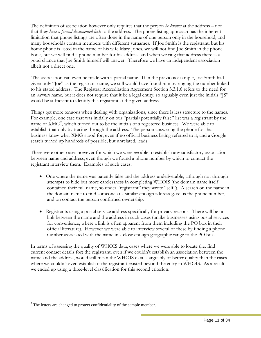The definition of association however only requires that the person *be known* at the address – not that they *have a formal documented link* to the address. The phone listing approach has the inherent limitation that phone listings are often done in the name of one person only in the household, and many households contain members with different surnames. If Joe Smith is the registrant, but his home phone is listed in the name of his wife Mary Jones, we will not find Joe Smith in the phone book, but we will find a phone number for his address, and when we ring that address there is a good chance that Joe Smith himself will answer. Therefore we have an independent association – albeit not a direct one.

The association can even be made with a partial name. If in the previous example, Joe Smith had given only "Joe" as the registrant name, we still would have found him by ringing the number linked to his stated address. The Registrar Accreditation Agreement Section 3.3.1.6 refers to the need for an *accurate* name, but it does not require that it be a legal entity, so arguably even just the initials "JS" would be sufficient to identify this registrant at the given address.

Things get more tenuous when dealing with organizations, since there is less structure to the names. For example, one case that was initially on our "partial/potentially false" list was a registrant by the name of XMG<sup>[2](#page-11-0)</sup>, which turned out to be the initials of a registered business. We were able to establish that only by tracing through the address. The person answering the phone for that business knew what XMG stood for, even if no official business listing referred to it, and a Google search turned up hundreds of possible, but unrelated, leads.

There were other cases however for which we were *not* able to establish any satisfactory association between name and address, even though we found a phone number by which to contact the registrant interview them. Examples of such cases:

- One where the name was patently false and the address undeliverable, although not through attempts to hide but more carelessness in completing WHOIS (the domain name itself contained their full name, so under "registrant" they wrote "self"). A search on the name in the domain name to find someone at a similar enough address gave us the phone number, and on contact the person confirmed ownership.
- Registrants using a postal service address specifically for privacy reasons. There will be no link between the name and the address in such cases (unlike businesses using postal services for convenience, where a link is often apparent from them including the PO box in their official literature). However we were able to interview several of these by finding a phone number associated with the name in a close enough geographic range to the PO box.

In terms of assessing the quality of WHOIS data, cases where we were able to locate (i.e. find current contact details for) the registrant, even if we couldn't establish an association between the name and the address, would still mean the WHOIS data is arguably of better quality than the cases where we couldn't even establish if the registrant existed beyond the entry in WHOIS. As a result we ended up using a three-level classification for this second criterion:

 $\overline{a}$ 

<span id="page-11-0"></span> $2^2$  The letters are changed to protect confidentiality of the sample member.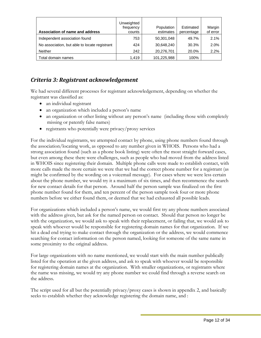<span id="page-12-0"></span>

| Association of name and address               | Unweighted<br>frequency<br>counts | Population<br>estimates | Estimated<br>percentage | Margin<br>of error |
|-----------------------------------------------|-----------------------------------|-------------------------|-------------------------|--------------------|
| Independent association found                 | 753                               | 50,301,048              | 49.7%                   | 2.1%               |
| No association, but able to locate registrant | 424                               | 30,648,240              | 30.3%                   | 2.0%               |
| <b>Neither</b>                                | 242                               | 20,276,701              | 20.0%                   | 2.2%               |
| Total domain names                            | 1,419                             | 101,225,988             | 100%                    |                    |

## *Criteria 3: Registrant acknowledgement*

We had several different processes for registrant acknowledgement, depending on whether the registrant was classified as:

- an individual registrant
- an organization which included a person's name
- an organization or other listing without any person's name (including those with completely missing or patently false names)
- registrants who potentially were privacy/proxy services

For the individual registrants, we attempted contact by phone, using phone numbers found through the association/locating work, as opposed to any number given in WHOIS. Persons who had a strong association found (such as a phone book listing) were often the most straight forward cases, but even among these there were challenges, such as people who had moved from the address listed in WHOIS since registering their domain. Multiple phone calls were made to establish contact, with more calls made the more certain we were that we had the correct phone number for a registrant (as might be confirmed by the wording on a voicemail message). For cases where we were less certain about the phone number, we would try it a maximum of six times, and then recommence the search for new contact details for that person. Around half the person sample was finalized on the first phone number found for them, and ten percent of the person sample took four or more phone numbers before we either found them, or deemed that we had exhausted all possible leads.

For organizations which included a person's name, we would first try any phone numbers associated with the address given, but ask for the named person on contact. Should that person no longer be with the organization, we would ask to speak with their replacement, or failing that, we would ask to speak with whoever would be responsible for registering domain names for that organization. If we hit a dead end trying to make contact through the organization or the address, we would commence searching for contact information on the person named, looking for someone of the same name in some proximity to the original address.

For large organizations with no name mentioned, we would start with the main number publically listed for the operation at the given address, and ask to speak with whoever would be responsible for registering domain names at the organization. With smaller organizations, or registrants where the name was missing, we would try any phone number we could find through a reverse search on the address.

The script used for all but the potentially privacy/proxy cases is shown in appendix 2, and basically seeks to establish whether they acknowledge registering the domain name, and :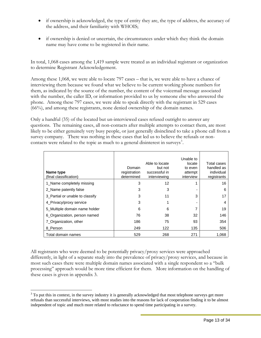- if ownership is acknowledged, the type of entity they are, the type of address, the accuracy of the address, and their familiarity with WHOIS;
- if ownership is denied or uncertain, the circumstances under which they think the domain name may have come to be registered in their name.

In total, 1,068 cases among the 1,419 sample were treated as an individual registrant or organization to determine Registrant Acknowledgement.

Among these 1,068, we were able to locate 797 cases – that is, we were able to have a chance of interviewing them because we found what we believe to be current working phone numbers for them, as indicated by the source of the number, the content of the voicemail message associated with the number, the caller ID, or information provided to us by someone else who answered the phone. Among these 797 cases, we were able to speak directly with the registrant in 529 cases (66%), and among these registrants, none denied ownership of the domain names.

Only a handful (35) of the located but un-interviewed cases refused outright to answer any questions. The remaining cases, all non-contacts after multiple attempts to contact them, are most likely to be either genuinely very busy people, or just generally disinclined to take a phone call from a survey company. There was nothing in these cases that led us to believe the refusals or non-contacts were related to the topic as much to a general disinterest in surveys<sup>[3](#page-13-0)</sup>.

| Name type<br>(final classification) | Domain<br>registration<br>determined | Able to locate<br>but not<br>successful in<br>interviewing | Unable to<br>locate<br>to even<br>attempt<br>interview | Total cases<br>handled as<br>individual<br>registrants |
|-------------------------------------|--------------------------------------|------------------------------------------------------------|--------------------------------------------------------|--------------------------------------------------------|
| 1_Name completely missing           | 3                                    | 12                                                         |                                                        | 16                                                     |
| 2 Name patently false               | 3                                    | 3                                                          |                                                        | 6                                                      |
| 3 Partial or unable to classify     | 3                                    | 11                                                         | 3                                                      | 17                                                     |
| 4 Privacy/proxy service             | 3                                    |                                                            |                                                        | 4                                                      |
| 5_Multiple domain name holder       | 6                                    | 6                                                          |                                                        | 19                                                     |
| 6_Organization, person named        | 76                                   | 38                                                         | 32                                                     | 146                                                    |
| 7 Organization, other               | 186                                  | 75                                                         | 93                                                     | 354                                                    |
| 8 Person                            | 249                                  | 122                                                        | 135                                                    | 506                                                    |
| Total domain names                  | 529                                  | 268                                                        | 271                                                    | 1,068                                                  |

All registrants who were deemed to be potentially privacy/proxy services were approached differently, in light of a separate study into the prevalence of privacy/proxy services, and because in most such cases there were multiple domain names associated with a single respondent so a "bulk processing" approach would be more time efficient for them. More information on the handling of these cases is given in appendix 3.

 $\overline{a}$ 

<span id="page-13-0"></span> $3$  To put this in context, in the survey industry it is generally acknowledged that most telephone surveys get more refusals than successful interviews, with most studies into the reasons for lack of cooperation finding it to be almost independent of topic and much more related to reluctance to spend time participating in a survey.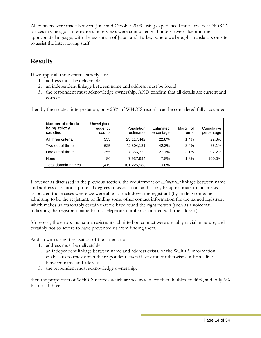<span id="page-14-0"></span>All contacts were made between June and October 2009, using experienced interviewers at NORC's offices in Chicago. International interviews were conducted with interviewers fluent in the appropriate language, with the exception of Japan and Turkey, where we brought translators on site to assist the interviewing staff.

# **Results**

If we apply all three criteria strictly, i.e.:

- 1. address must be deliverable
- 2. an independent linkage between name and address must be found
- 3. the respondent must acknowledge ownership, AND confirm that all details are current and correct,

| Number of criteria<br>being strictly<br>satisfied | Unweighted<br>frequency<br>counts | Population<br>estimates | Estimated<br>percentage | Margin of<br>error | Cumulative<br>percentage |
|---------------------------------------------------|-----------------------------------|-------------------------|-------------------------|--------------------|--------------------------|
| All three criteria                                | 353                               | 23,117,442              | 22.8%                   | 1.4%               | 22.8%                    |
| Two out of three                                  | 625                               | 42,804,131              | 42.3%                   | 3.4%               | 65.1%                    |
| One out of three                                  | 355                               | 27,366,722              | 27.1%                   | 3.1%               | 92.2%                    |
| None                                              | 86                                | 7,937,694               | 7.8%                    | 1.8%               | 100.0%                   |
| Total domain names                                | 1,419                             | 101,225,988             | 100%                    |                    |                          |

then by the strictest interpretation, only 23% of WHOIS records can be considered fully accurate:

However as discussed in the previous section, the requirement of *independent* linkage between name and address does not capture all degrees of association, and it may be appropriate to include as associated those cases where we were able to track down the registrant (by finding someone admitting to be the registrant, or finding some other contact information for the named registrant which makes us reasonably certain that we have found the right person (such as a voicemail indicating the registrant name from a telephone number associated with the address).

Moreover, the errors that some registrants admitted on contact were arguably trivial in nature, and certainly not so severe to have prevented us from finding them.

And so with a slight relaxation of the criteria to:

- 1. address must be deliverable
- 2. an independent linkage between name and address exists, or the WHOIS information enables us to track down the respondent, even if we cannot otherwise confirm a link between name and address
- 3. the respondent must acknowledge ownership,

then the proportion of WHOIS records which are accurate more than doubles, to 46%, and only 6% fail on all three: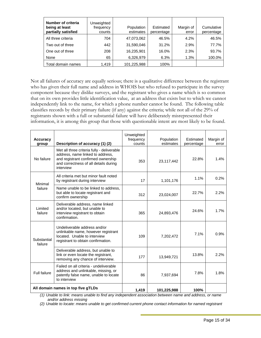| Number of criteria<br>being at least<br>partially satisfied | Unweighted<br>frequency<br>counts | Population<br>estimates | Estimated<br>percentage | Margin of<br>error | Cumulative<br>percentage |
|-------------------------------------------------------------|-----------------------------------|-------------------------|-------------------------|--------------------|--------------------------|
| All three criteria                                          | 704                               | 47,073,062              | 46.5%                   | 4.2%               | 46.5%                    |
| Two out of three                                            | 442                               | 31,590,046              | 31.2%                   | 2.9%               | 77.7%                    |
| One out of three                                            | 208                               | 16,235,901              | 16.0%                   | 2.3%               | 93.7%                    |
| None                                                        | 65                                | 6,326,979               | 6.3%                    | 1.3%               | 100.0%                   |
| Total domain names                                          | 1.419                             | 101,225,988             | 100%                    |                    |                          |

Not all failures of accuracy are equally serious; there is a qualitative difference between the registrant who has given their full name and address in WHOIS but who refused to participate in the survey component because they dislike surveys, and the registrant who gives a name which is so common that on its own provides little identification value, at an address that exists but to which we cannot independently link to the name, for which a phone number cannot be found. The following table classifies records by their primary failure (if any) against the criteria; while not all of the 29% of registrants shown with a full or substantial failure will have deliberately misrepresented their information, it is among this group that those with questionable intent are most likely to be found.

| <b>Accuracy</b><br>group           | Description of accuracy (1) (2)                                                                                                                                            | Unweighted<br>frequency<br>counts | Population<br>estimates | Estimated<br>percentage | Margin of<br>error |
|------------------------------------|----------------------------------------------------------------------------------------------------------------------------------------------------------------------------|-----------------------------------|-------------------------|-------------------------|--------------------|
| No failure                         | Met all three criteria fully - deliverable<br>address, name linked to address,<br>and registrant confirmed ownership<br>and correctness of all details during<br>interview | 353                               | 23,117,442              | 22.8%                   | 1.4%               |
| Minimal                            | All criteria met but minor fault noted<br>by registrant during interview                                                                                                   | 17                                | 1,101,176               | 1.1%                    | 0.2%               |
| failure                            | Name unable to be linked to address.<br>but able to locate registrant and<br>confirm ownership                                                                             | 312                               | 23,024,007              | 22.7%                   | 2.2%               |
| Limited<br>failure                 | Deliverable address, name linked<br>and/or located, but unable to<br>interview registrant to obtain<br>confirmation.                                                       | 365                               | 24,893,476              | 24.6%                   | 1.7%               |
| Substantial<br>failure             | Undeliverable address and/or<br>unlinkable name, however registrant<br>located. Unable to interview<br>registrant to obtain confirmation.                                  | 109                               | 7,202,472               | 7.1%                    | 0.9%               |
|                                    | Deliverable address, but unable to<br>link or even locate the registrant,<br>removing any chance of interview.                                                             | 177<br>13,949,721                 |                         | 13.8%                   | 2.2%               |
| Full failure                       | Failed on all criteria - undeliverable<br>address and unlinkable, missing, or<br>patently false name, unable to locate<br>to interview                                     | 86                                | 7,937,694               | 7.8%                    | 1.8%               |
| All domain names in top five gTLDs |                                                                                                                                                                            | 1.419                             | 101,225,988             | 100%                    |                    |

*(1) Unable to link: means unable to find any independent association between name and address, or name and/or address missing* 

*(2) Unable to locate: means unable to get confirmed current phone contact information for named registrant*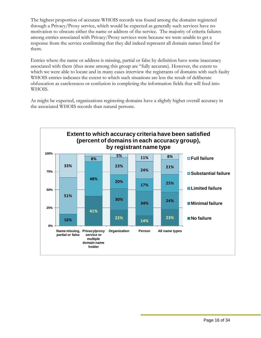The highest proportion of accurate WHOIS records was found among the domains registered through a Privacy/Proxy service, which would be expected as generally such services have no motivation to obscure either the name or address of the service. The majority of criteria failures among entries associated with Privacy/Proxy services were because we were unable to get a response from the service confirming that they did indeed represent all domain names listed for them.

Entries where the name or address is missing, partial or false by definition have some inaccuracy associated with them (thus none among this group are "fully accurate). However, the extent to which we were able to locate and in many cases interview the registrants of domains with such faulty WHOIS entries indicates the extent to which such situations are less the result of deliberate obfuscation as carelessness or confusion in completing the information fields that will feed into WHOIS.

As might be expected, organizations registering domains have a slightly higher overall accuracy in the associated WHOIS records than natural persons.

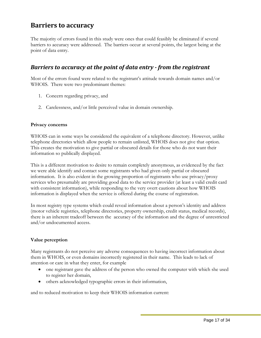# <span id="page-17-0"></span>**Barriers to accuracy**

The majority of errors found in this study were ones that could feasibly be eliminated if several barriers to accuracy were addressed. The barriers occur at several points, the largest being at the point of data entry.

### *Barriers to accuracy at the point of data entry from the registrant*

Most of the errors found were related to the registrant's attitude towards domain names and/or WHOIS. There were two predominant themes:

- 1. Concern regarding privacy, and
- 2. Carelessness, and/or little perceived value in domain ownership.

#### **Privacy concerns**

WHOIS can in some ways be considered the equivalent of a telephone directory. However, unlike telephone directories which allow people to remain unlisted, WHOIS does not give that option. This creates the motivation to give partial or obscured details for those who do not want their information so publically displayed.

This is a different motivation to desire to remain completely anonymous, as evidenced by the fact we were able identify and contact some registrants who had given only partial or obscured information. It is also evident in the growing proportion of registrants who use privacy/proxy services who presumably are providing good data to the service provider (at least a valid credit card with consistent information), while responding to the very overt cautions about how WHOIS information is displayed when the service is offered during the course of registration.

In most registry type systems which could reveal information about a person's identity and address (motor vehicle registries, telephone directories, property ownership, credit status, medical records), there is an inherent tradeoff between the accuracy of the information and the degree of unrestricted and/or undocumented access.

#### **Value perception**

Many registrants do not perceive any adverse consequences to having incorrect information about them in WHOIS, or even domains incorrectly registered in their name. This leads to lack of attention or care in what they enter, for example

- one registrant gave the address of the person who owned the computer with which she used to register her domain,
- others acknowledged typographic errors in their information,

and to reduced motivation to keep their WHOIS information current: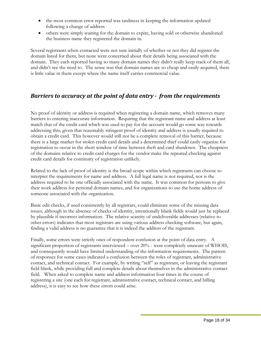- <span id="page-18-0"></span>• the most common error reported was tardiness in keeping the information updated following a change of address
- others were simply waiting for the domain to expire, having sold or otherwise abandoned the business name they registered the domain in.

Several registrants when contacted were not sure initially of whether or not they did register the domain listed for them, but none were concerned about their details being associated with the domain. They each reported having so many domain names they didn't really keep track of them all, and didn't see the need to. The sense was that domain names are so cheap and easily acquired, there is little value in them except where the name itself carries commercial value.

### *Barriers to accuracy at the point of data entry from the requirements*

No proof of identity or address is required when registering a domain name, which removes many barriers to entering inaccurate information. Requiring that the registrant name and address at least match that of the credit card which was used to pay for the account would go some way towards addressing this, given that reasonably stringent proof of identity and address is usually required to obtain a credit card. This however would still not be a complete removal of this barrier, because there is a large market for stolen credit card details and a determined thief could easily organize for registration to occur in the short window of time between theft and card shutdown. The cheapness of the domains relative to credit card charges for the vendor make the repeated checking against credit card details for continuity of registration unlikely.

Related to the lack of proof of identity is the broad scope within which registrants can choose to interpret the requirements for name and address. A full legal name is not required, nor is the address required to be one officially associated with the name. It was common for persons to give their work address for personal domain names, and for organizations to use the home address of someone associated with the organization.

Basic edit checks, if used consistently by all registrars, could eliminate some of the missing data issues, although in the absence of checks of identity, intentionally blank fields would just be replaced by plausible if incorrect information. The relative scarcity of undeliverable addresses (relative to other errors) indicates that most registrars are using various address checking software, but again, finding a valid address is no guarantee that it is indeed the address of the registrant.

Finally, some errors were strictly ones of respondent confusion at the point of data entry. A significant proportion of registrants interviewed – over 20% - were completely unaware of WHOIS, and consequently would have limited understanding of the information requirements. The pattern of responses for some cases indicated a confusion between the roles of registrant, administrative contact, and technical contact. For example, by writing "self" as registrant, or leaving the registrant field blank, while providing full and complete details about themselves in the administrative contact field. When asked to complete name and address information four times in the course of registering a site (one each for registrant, administrative contact, technical contact, and billing address), it is easy to see how these errors could arise.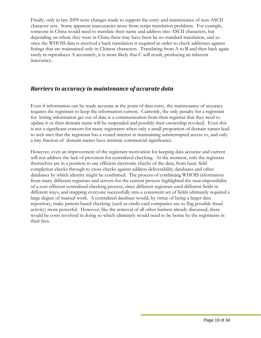<span id="page-19-0"></span>Finally, only in late 2009 were changes made to support the entry and maintenance of non-ASCII character sets. Some apparent inaccuracies arose from script translation problems. For example, someone in China would need to translate their name and address into ASCII characters, but depending on where they were in China there may have been be no standard translation, and so once the WHOIS data is received a back translation is required in order to check addresses against listings that are maintained only in Chinese characters. Translating from A to B and then back again rarely re-reproduces A accurately, it is more likely that C will result, producing an inherent inaccuracy.

### *Barriers to accuracy in maintenance of accurate data*

Even if information can be made accurate at the point of data entry, the maintenance of accuracy requires the registrant to keep the information current. Currently, the only penalty for a registrant for letting information get out of date is a communication from their registrar that they need to update it or their domain name will be suspended and possibly their ownership revoked. Even this is not a significant concern for many registrants when only a small proportion of domain names lead to web sites that the registrant has a vested interest in maintaining uninterrupted access to, and only a tiny fraction of domain names have intrinsic commercial significance.

However, even an improvement of the registrant motivation for keeping data accurate and current will not address the lack of provision for centralized checking. At the moment, only the registrars themselves are in a position to use efficient electronic checks of the data, from basic field completion checks through to cross checks against address deliverability databases and other databases by which identity might be confirmed. The process of combining WHOIS information from many different registrars and servers for the current process highlighted the near impossibility of a cost efficient centralized checking process, since different registrars used different fields in different ways, and mapping everyone successfully into a consistent set of fields ultimately required a large degree of manual work. A centralized database would, by virtue of being a larger data repository, make pattern based checking (such as credit card companies use to flag possible fraud activity) more powerful. However, like the removal of all other barriers already discussed, there would be costs involved in doing so which ultimately would need to be borne by the registrants in their fees.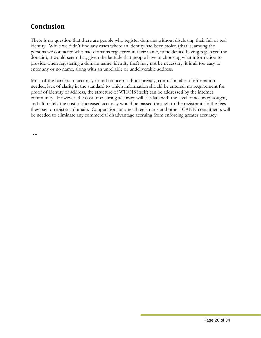# <span id="page-20-0"></span>**Conclusion**

There is no question that there are people who register domains without disclosing their full or real identity. While we didn't find any cases where an identity had been stolen (that is, among the persons we contacted who had domains registered in their name, none denied having registered the domain), it would seem that, given the latitude that people have in choosing what information to provide when registering a domain name, identity theft may not be necessary; it is all too easy to enter any or no name, along with an unreliable or undeliverable address.

Most of the barriers to accuracy found (concerns about privacy, confusion about information needed, lack of clarity in the standard to which information should be entered, no requirement for proof of identity or address, the structure of WHOIS itself) can be addressed by the internet community. However, the cost of ensuring accuracy will escalate with the level of accuracy sought, and ultimately the cost of increased accuracy would be passed through to the registrants in the fees they pay to register a domain. Cooperation among all registrants and other ICANN constituents will be needed to eliminate any commercial disadvantage accruing from enforcing greater accuracy.

**…**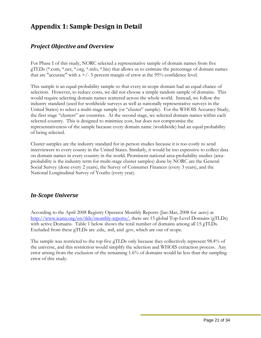# <span id="page-21-0"></span>**Appendix 1: Sample Design in Detail**

### *Project Objective and Overview*

For Phase I of this study, NORC selected a representative sample of domain names from five gTLDs (\*.com, \*.net, \*.org, \*.info, \*.biz) that allows us to estimate the percentage of domain names that are "accurate" with a  $+/-$  5 percent margin of error at the 95% confidence level.

This sample is an equal-probability sample so that every in-scope domain had an equal chance of selection. However, to reduce costs, we did not choose a simple random sample of domains. This would require selecting domain names scattered across the whole world. Instead, we follow the industry standard (used for worldwide surveys as well as nationally representative surveys in the United States) to select a multi-stage sample (or "cluster" sample). For the WHOIS Accuracy Study, the first stage "clusters" are countries. At the second stage, we selected domain names within each selected country. This is designed to minimize cost, but does not compromise the representativeness of the sample because every domain name (worldwide) had an equal probability of being selected.

Cluster samples are the industry standard for in-person studies because it is too costly to send interviewers to every county in the United States. Similarly, it would be too expensive to collect data on domain names in every country in the world. Prominent national area-probability studies (areaprobability is the industry term for multi-stage cluster samples) done by NORC are the General Social Survey (done every 2 years), the Survey of Consumer Finances (every 3 years), and the National Longitudinal Survey of Youths (every year).

### *InScope Universe*

According to the April 2008 Registry Operator Monthly Reports (Jan-Mar, 2008 for .aero) at <http://www.icann.org/en/tlds/monthly-reports/>, there are 15 global Top-Level Domains (gTLDs) with active Domains. Table 1 below shows the total number of domains among all 15 gTLDs. Excluded from these gTLDs are .edu, .mil, and .gov, which are out of scope.

The sample was restricted to the top five gTLDs only because they collectively represent 98.4% of the universe, and this restriction would simplify the selection and WHOIS extraction process. Any error arising from the exclusion of the remaining 1.6% of domains would be less than the sampling error of this study.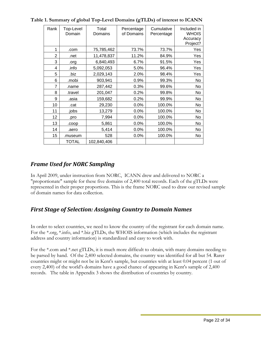| Rank           | Top-Level<br>Domain | Total<br>Domains | Percentage<br>of Domains | Cumulative<br>Percentage | Included in<br><b>WHOIS</b><br>Accuracy<br>Project? |
|----------------|---------------------|------------------|--------------------------|--------------------------|-----------------------------------------------------|
| 1              | .com                | 75,785,462       | 73.7%                    | 73.7%                    | Yes                                                 |
| $\overline{2}$ | .net                | 11,478,837       | 11.2%                    | 84.9%                    | Yes                                                 |
| 3              | .org                | 6,840,493        | 6.7%                     | 91.5%                    | Yes                                                 |
| 4              | .info               | 5,092,053        | 5.0%                     | 96.4%                    | Yes                                                 |
| 5              | .biz                | 2,029,143        | 2.0%                     | 98.4%                    | Yes                                                 |
| 6              | .mobi               | 903,941          | 0.9%                     | 99.3%                    | No                                                  |
| $\overline{7}$ | .name               | 287,442          | 0.3%                     | 99.6%                    | No                                                  |
| 8              | travel.             | 201,047          | 0.2%                     | 99.8%                    | No                                                  |
| 9              | .asia               | 159,682          | 0.2%                     | 99.9%                    | No.                                                 |
| 10             | .cat                | 29,230           | 0.0%                     | 100.0%                   | No                                                  |
| 11             | .jobs               | 13,279           | 0.0%                     | 100.0%                   | No                                                  |
| 12             | .pro                | 7,994            | 0.0%                     | 100.0%                   | No                                                  |
| 13             | .coop               | 5,861            | 0.0%                     | 100.0%                   | No                                                  |
| 14             | .aero               | 5,414            | 0.0%                     | 100.0%                   | No                                                  |
| 15             | .museum             | 528              | $0.0\%$                  | 100.0%                   | No                                                  |
|                | <b>TOTAL</b>        | 102,840,406      |                          |                          |                                                     |

<span id="page-22-0"></span>**Table 1. Summary of global Top-Level Domains (gTLDs) of interest to ICANN** 

# *Frame Used for NORC Sampling*

In April 2009, under instruction from NORC, ICANN drew and delivered to NORC a "proportionate" sample for these five domains of 2,400 total records. Each of the gTLDs were represented in their proper proportions. This is the frame NORC used to draw our revised sample of domain names for data collection.

# *First Stage of Selection: Assigning Country to Domain Names*

In order to select countries, we need to know the country of the registrant for each domain name. For the \*.org, \*.info, and \*.biz gTLDs, the WHOIS information (which includes the registrant address and country information) is standardized and easy to work with.

For the \*.com and \*.net gTLDs, it is much more difficult to obtain, with many domains needing to be parsed by hand. Of the 2,400 selected domains, the country was identified for all but 54. Rarer countries might or might not be in Kent's sample, but countries with at least 0.04 percent (1 out of every 2,400) of the world's domains have a good chance of appearing in Kent's sample of 2,400 records. The table in Appendix 3 shows the distribution of countries by country.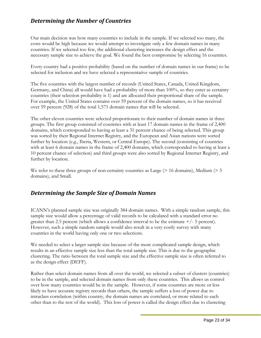### <span id="page-23-0"></span>*Determining the Number of Countries*

Our main decision was how many countries to include in the sample. If we selected too many, the costs would be high because we would attempt to investigate only a few domain names in many countries. If we selected too few, the additional clustering increases the design effect and the necessary sample size to achieve the goal. We found the best compromise by selecting 16 countries.

Every country had a positive probability (based on the number of domain names in our frame) to be selected for inclusion and we have selected a representative sample of countries.

The five countries with the largest number of records (United States, Canada, United Kingdom, Germany, and China) all would have had a probability of more than 100%, so they enter as certainty countries (their selection probability is 1) and are allocated their proportional share of the sample. For example, the United States contains over 59 percent of the domain names, so it has received over 59 percent (928) of the total 1,571 domain names that will be selected.

The other eleven countries were selected proportionate to their number of domain names in three groups. The first group consisted of countries with at least 17 domain names in the frame of 2,400 domains, which corresponded to having at least a 31 percent chance of being selected. This group was sorted by their Regional Internet Registry, and the European and Asian nations were sorted further by location (e.g., Iberia, Western, or Central Europe). The second (consisting of countries with at least 6 domain names in the frame of 2,400 domains, which corresponded to having at least a 10 percent chance of selection) and third groups were also sorted by Regional Internet Registry, and further by location.

We refer to these three groups of non-certainty countries as Large ( $> 16$  domains), Medium ( $> 5$ domains), and Small.

### *Determining the Sample Size of Domain Names*

ICANN's planned sample size was originally 384 domain names. With a simple random sample, this sample size would allow a percentage of valid records to be calculated with a standard error no greater than 2.5 percent (which allows a confidence interval to be the estimate  $+/-$  5 percent). However, such a simple random sample would also result in a very costly survey with many countries in the world having only one or two selections.

We needed to select a larger sample size because of the more complicated sample design, which results in an effective sample size less than the total sample size. This is due to the geographic clustering. The ratio between the total sample size and the effective sample size is often referred to as the design effect (DEFF).

Rather than select domain names from all over the world, we selected a subset of clusters (countries) to be in the sample, and selected domain names from only these countries. This allows us control over how many countries would be in the sample. However, if some countries are more or less likely to have accurate registry records than others, the sample suffers a loss of power due to intraclass correlation (within country, the domain names are correlated, or more related to each other than to the rest of the world). This loss of power is called the design effect due to clustering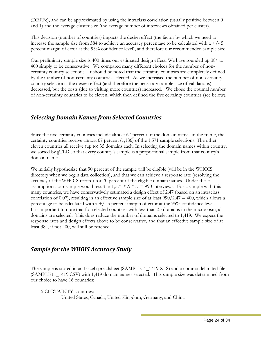<span id="page-24-0"></span>(DEFFc), and can be approximated by using the intraclass correlation (usually positive between 0 and 1) and the average cluster size (the average number of interviews obtained per cluster).

This decision (number of countries) impacts the design effect (the factor by which we need to increase the sample size from 384 to achieve an accuracy percentage to be calculated with a  $+/- 5$ percent margin of error at the 95% confidence level), and therefore our recommended sample size.

Our preliminary sample size is 400 times our estimated design effect. We have rounded up 384 to 400 simply to be conservative. We compared many different choices for the number of noncertainty country selections. It should be noted that the certainty countries are completely defined by the number of non-certainty countries selected. As we increased the number of non-certainty country selections, the design effect (and therefore the necessary sample size of validations) decreased, but the costs (due to visiting more countries) increased. We chose the optimal number of non-certainty countries to be eleven, which then defined the five certainty countries (see below).

### *Selecting Domain Names from Selected Countries*

Since the five certainty countries include almost 67 percent of the domain names in the frame, the certainty countries receive almost 67 percent (1,186) of the 1,571 sample selections. The other eleven countries all receive (up to) 35 domains each. In selecting the domain names within country, we sorted by gTLD so that every country's sample is a proportional sample from that country's domain names.

We initially hypothesize that 90 percent of the sample will be eligible (will be in the WHOIS directory when we begin data collection), and that we can achieve a response rate (resolving the accuracy of the WHOIS record) for 70 percent of the eligible domain names. Under these assumptions, our sample would result in  $1,571 * .9 * .7 = 990$  interviews. For a sample with this many countries, we have conservatively estimated a design effect of 2.47 (based on an intraclass correlation of 0.07), resulting in an effective sample size of at least  $990/2.47 = 400$ , which allows a percentage to be calculated with  $a + (-5)$  percent margin of error at the 95% confidence level. It is important to note that for selected countries with less than 35 domains in the microcosm, all domains are selected. This does reduce the number of domains selected to 1,419. We expect the response rates and design effects above to be conservative, and that an effective sample size of at least 384, if not 400, will still be reached.

### *Sample for the WHOIS Accuracy Study*

The sample is stored in an Excel spreadsheet (SAMPLE11\_1419.XLS) and a comma-delimited file (SAMPLE11\_1419.CSV) with 1,419 domain names selected. This sample size was determined from our choice to have 16 countries:

5 CERTAINTY countries:

United States, Canada, United Kingdom, Germany, and China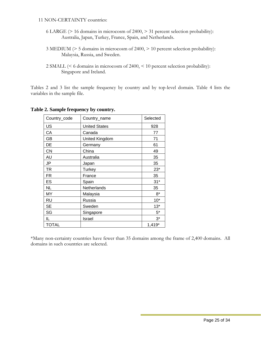#### 11 NON-CERTAINTY countries:

- 6 LARGE (> 16 domains in microcosm of 2400, > 31 percent selection probability): Australia, Japan, Turkey, France, Spain, and Netherlands.
- 3 MEDIUM (> 5 domains in microcosm of 2400, > 10 percent selection probability): Malaysia, Russia, and Sweden.

Tables 2 and 3 list the sample frequency by country and by top-level domain. Table 4 lists the variables in the sample file.

| Country_code | Country_name         | Selected |
|--------------|----------------------|----------|
| US           | <b>United States</b> | 928      |
| СA           | Canada               | 77       |
| GB           | United Kingdom       | 71       |
| DE           | Germany              | 61       |
| <b>CN</b>    | China                | 49       |
| AU           | Australia            | 35       |
| JP           | Japan                | 35       |
| <b>TR</b>    | Turkey               | $23*$    |
| FR           | France               | 35       |
| ES           | Spain                | $31*$    |
| <b>NL</b>    | Netherlands          | 35       |
| MY           | Malaysia             | $8*$     |
| RU           | Russia               | $10*$    |
| <b>SE</b>    | Sweden               | $13*$    |
| SG           | Singapore            | $5*$     |
| IL           | Israel               | $3^*$    |
| <b>TOTAL</b> |                      | $1,419*$ |

#### **Table 2. Sample frequency by country.**

\*Many non-certainty countries have fewer than 35 domains among the frame of 2,400 domains. All domains in such countries are selected.

 <sup>2</sup> SMALL (< 6 domains in microcosm of 2400, < 10 percent selection probability): Singapore and Ireland.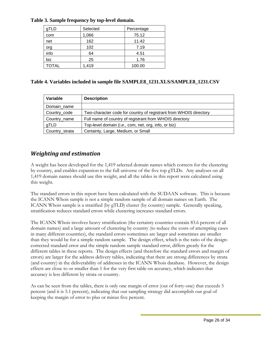| gTLD         | Selected | Percentage |
|--------------|----------|------------|
| com          | 1,066    | 75.12      |
| net          | 162      | 11.42      |
| org          | 102      | 7.19       |
| info         | 64       | 4.51       |
| biz          | 25       | 1.76       |
| <b>TOTAL</b> | 1,419    | 100.00     |

### <span id="page-26-0"></span>**Table 3. Sample frequency by top-level domain.**

#### **Table 4. Variables included in sample file SAMPLE8\_1231.XLS/SAMPLE8\_1231.CSV**

| Variable       | <b>Description</b>                                                |
|----------------|-------------------------------------------------------------------|
| Domain_name    |                                                                   |
| Country_code   | Two-character code for country of registrant from WHOIS directory |
| Country_name   | Full name of country of registrant from WHOIS directory           |
| gTLD           | Top-level domain (i.e., com, net, org, info, or biz)              |
| Country_strata | Certainty, Large, Medium, or Small                                |

### *Weighting and estimation*

A weight has been developed for the 1,419 selected domain names which corrects for the clustering by country, and enables expansion to the full universe of the five top gTLDs. Any analyses on all 1,419 domain names should use this weight, and all the tables in this report were calculated using this weight.

The standard errors in this report have been calculated with the SUDAAN software. This is because the ICANN Whois sample is not a simple random sample of all domain names on Earth. The ICANN Whois sample is a stratified (by gTLD) cluster (by country) sample. Generally speaking, stratification reduces standard errors while clustering increases standard errors.

The ICANN Whois involves heavy stratification (the certainty countries contain 83.6 percent of all domain names) and a large amount of clustering by country (to reduce the costs of attempting cases in many different countries), the standard errors sometimes are larger and sometimes are smaller than they would be for a simple random sample. The design effect, which is the ratio of the designcorrected standard error and the simple random sample standard error, differs greatly for the different tables in these reports. The design effects (and therefore the standard errors and margin of errors) are larger for the address delivery tables, indicating that there are strong differences by strata (and country) in the deliverability of addresses in the ICANN Whois database. However, the design effects are close to or smaller than 1 for the very first table on accuracy, which indicates that accuracy is less different by strata or country.

As can be seen from the tables, there is only one margin of error (out of forty-one) that exceeds 5 percent (and it is 5.1 percent), indicating that our sampling strategy did accomplish our goal of keeping the margin of error to plus or minus five percent.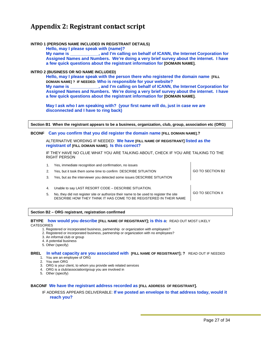# <span id="page-27-0"></span>**Appendix 2: Registrant contact script**

#### **INTRO 1 (PERSONS NAME INCLUDED IN REGISTRANT DETAILS)**

**Hello, may I please speak with (name)?** 

**My name is \_\_\_\_\_\_\_\_\_\_\_\_, and I'm calling on behalf of ICANN, the Internet Corporation for Assigned Names and Numbers. We're doing a very brief survey about the internet. I have a few quick questions about the registrant information for [DOMAIN NAME].** 

#### **INTRO 2 (BUSINESS OR NO NAME INCLUDED)**

**Hello, may I please speak with the person there who registered the domain name [FILL DOMAIN NAME] ? IF NEEDED: Who is responsible for your website? My name is \_\_\_\_\_\_\_\_\_\_\_\_, and I'm calling on behalf of ICANN, the Internet Corporation for Assigned Names and Numbers. We're doing a very brief survey about the internet. I have a few quick questions about the registrant information for [DOMAIN NAME].** 

**May I ask who I am speaking with? (your first name will do, just in case we are disconnected and I have to ring back)** 

**Section B1 When the registrant appears to be a business, organization, club, group, association etc (ORG)** 

#### **BCONF Can you confirm that you did register the domain name [FILL DOMAIN NAME].?**

ALTERNATIVE WORDING IF NEEDED: **We have [FILL NAME OF REGISTRANT] listed as the registrant of [FILL DOMAIN NAME]. Is this correct?** 

IF THEY HAVE NO CLUE WHAT YOU ARE TALKING ABOUT, CHECK IF YOU ARE TALKING TO THE RIGHT PERSON

 $\mathbf{I}$ 

|    | Yes, immediate recognition and confirmation, no issues                                                                                                       |                        |
|----|--------------------------------------------------------------------------------------------------------------------------------------------------------------|------------------------|
| 2. | Yes, but it took them some time to confirm DESCRIBE SITUATION                                                                                                | GO TO SECTION B2       |
|    | Yes, but as the interviewer you detected some issues DESCRIBE SITUATION                                                                                      |                        |
|    |                                                                                                                                                              |                        |
| 4. | Unable to say LAST RESORT CODE - DESCRIBE SITUATION.                                                                                                         |                        |
| 5. | No, they did not register site or authorize their name to be used to register the site<br>DESCRIBE HOW THEY THINK IT HAS COME TO BE REGISTERED IN THEIR NAME | <b>GO TO SECTION X</b> |
|    |                                                                                                                                                              |                        |

#### **Section B2 – ORG registrant, registration confirmed**

#### **BTYPE how would you describe [FILL NAME OF REGISTRANT]; is this a:** READ OUT MOST LIKELY **CATEGORIES**

1. Registered or incorporated business, partnership or organization with employees?

- 2. Registered or incorporated business, partnership or organization with no employees?
- 3. An informal club or group
- 4. A potential business
- 5. Other (specify)

#### **BREL In what capacity are you associated with [FILL NAME OF REGISTRANT]; ?** READ OUT IF NEEDED 1. You are an employee of ORG

- 2. You own ORG
- 3. ORG is your client, to whom you provide web related services
- 4. ORG is a club/association/group you are involved in
- 5. Other (specify)

#### **BACONF We have the registrant address recorded as [FILL ADDRESS OF REGISTRANT].**

#### IF ADDRESS APPEARS DELIVERABLE: **If we posted an envelope to that address today, would it reach you?**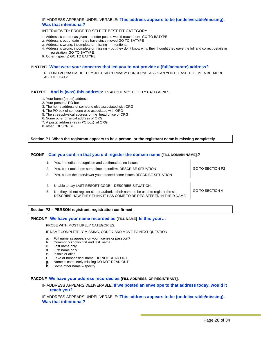#### IF ADDRESS APPEARS UNDELIVERABLE**: This address appears to be (undeliverable/missing). Was that intentional?**

#### INTERVIEWER: PROBE TO SELECT BEST FIT CATEGORY

- 1. Address is correct as given a letter posted would reach them GO TO BATYPE
- 2. Address is out of date they have since moved GO TO BATYPE
- 3. Address is wrong, incomplete or missing intentional
- 4. Address is wrong, incomplete or missing but they don't know why, they thought they gave the full and correct details in registration GO TO BATYPE
- 5. Other (specify) GO TO BATYPE

#### **BINTENT What were your concerns that led you to not provide a (full/accurate) address?**

RECORD VERBATIM. IF THEY JUST SAY 'PRIVACY CONCERNS' ASK 'CAN YOU PLEASE TELL ME A BIT MORE ABOUT THAT?

#### **BATYPE And is (was) this address:** READ OUT MOST LIKELY CATEGORIES

- 1. Your home (street) address
- 2. Your personal PO box
- 3. The home address of someone else associated with ORG
- 4. The PO box of someone else associated with ORG
- 5. The street/physical address of the head office of ORG
- 6. Some other physical address of ORG
- 7. A postal address (as in PO box) of ORG
- 8. other DESCRIBE

#### **Section P1 When the registrant appears to be a person, or the registrant name is missing completely**

#### **PCONF Can you confirm that you did register the domain name [FILL DOMAIN NAME].?**

|    | Yes, immediate recognition and confirmation, no issues                                                                                                       |                  |
|----|--------------------------------------------------------------------------------------------------------------------------------------------------------------|------------------|
|    | Yes, but it took them some time to confirm DESCRIBE SITUATION                                                                                                | GO TO SECTION P2 |
|    | Yes, but as the interviewer you detected some issues DESCRIBE SITUATION                                                                                      |                  |
|    |                                                                                                                                                              |                  |
|    | Unable to say LAST RESORT CODE - DESCRIBE SITUATION.                                                                                                         |                  |
| 5. | No, they did not register site or authorize their name to be used to register the site<br>DESCRIBE HOW THEY THINK IT HAS COME TO BE REGISTERED IN THEIR NAME | GO TO SECTION 4  |
|    |                                                                                                                                                              |                  |

#### **Section P2 – PERSON registrant, registration confirmed**

#### **PNCONF We have your name recorded as [FILL NAME] Is this your…**

#### PROBE WITH MOST LIKELY CATEGORIES.

IF NAME COMPLETELY MISSING, CODE 7 AND MOVE TO NEXT QUESTION

- a. Full name as appears on your license or passport?
- b. Commonly known first and last name
- c. Last name only
- d. First name only
- e. Initials or alias
- f. Fake or nonsensical name DO NOT READ OUT
- g. Name is completely missing DO NOT READ OUT
- **h.** Some other name specify

#### **PACONF We have your address recorded as [FILL ADDRESS OF REGISTRANT].**

IF ADDRESS APPEARS DELIVERABLE: **If we posted an envelope to that address today, would it reach you?** 

IF ADDRESS APPEARS UNDELIVERABLE**: This address appears to be (undeliverable/missing). Was that intentional?** 

 $\mathbf{I}$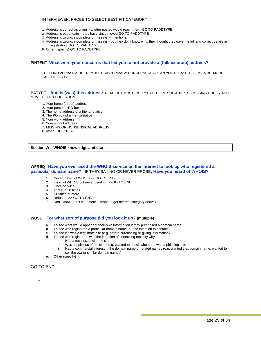#### INTERVIEWER: PROBE TO SELECT BEST FIT CATEGORY

- 1. Address is correct as given a letter posted would reach them GO TO PADDTYPE
- 2. Address is out of date they have since moved GO TO PADDTYPE
- 3. Address is wrong, incomplete or missing intentional
- 4. Address is wrong, incomplete or missing but they don't know why, they thought they gave the full and correct details in registration GO TO PADDTYPE
- 5. Other (specify) GO TO PADDTYPE

#### **PINTENT What were your concerns that led you to not provide a (full/accurate) address?**

RECORD VERBATIM. IF THEY JUST SAY 'PRIVACY CONCERNS' ASK 'CAN YOU PLEASE TELL ME A BIT MORE ABOUT THAT?

**PATYPE And is (was) this address:** READ OUT MOST LIKELY CATEGORIES; IF ADDRESS MISSING CODE 7 AND MOVE TO NEXT QUESTION

- 1. Your home (street) address
- 2. Your personal PO box
- 3. The home address of a friend/relative
- 4. The PO box of a friend/relative
- 5. Your work address
- 6. Your school address
- 7. MISSING OR NONSENSICAL ADDRESS
- 8. other DESCRIBE

**Section W – WHOIS knowledge and use** 

#### **WFREQ Have you ever used the WHOIS service on the internet to look up who registered a particular domain name?** IF THEY SAY NO OR NEVER PROBE**: Have you heard of WHOIS?**

- 1. Never heard of WHOIS >> GO TO END
- 2. Know of WHOIS but never used it >>GO TO END
- 3. Once or twice
- 4. Three to 20 times
- 5. 21 times or more
- 6. Refused >> GO TO END
- 7. Don't know (don't code here probe to get nearest category above)

#### **WUSE For what sort of purpose did you look it up? (multiple)**

- a. To see what would appear of their own information if they purchased a domain name
- b. To see who registered a particular domain name, but no intention to contact
- c. To see if it was a legitimate site (e.g. before purchasing or giving information)
- d. To see who registered, with the intention of contacting (specify why
	- i. Had a tech issue with the site
	- ii. Was suspicious of the site  $-$  e.g. wanted to check whether it was a phishing site
	- iii. Had a commercial interest in the domain name or related names (e.g. wanted that domain name, wanted to sell the owner similar domain names)
- e. Other (specify)

#### GO TO END

‐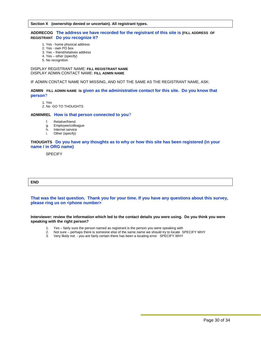**Section X (ownership denied or uncertain). All registrant types.** 

#### **ADDRECOG The address we have recorded for the registrant of this site is [FILL ADDRESS OF REGISTRANT Do you recognize it?**

- 1. Yes home physical address
- 2. Yes own PO box
- 3. Yes friend/relatives address
- 4. Yes other (specify)
- 5. No recognition

#### DISPLAY REGISTRANT NAME: **FILL REGISTRANT NAME**  DISPLAY ADMIN CONTACT NAME: **FILL ADMIN NAME**

IF ADMIN CONTACT NAME NOT MISSING, AND NOT THE SAME AS THE REGISTRANT NAME, ASK:

#### **ADMIN FILL ADMIN NAME is given as the administrative contact for this site. Do you know that person**?

1. Yes

2. No GO TO THOUGHTS

#### **ADMINREL How is that person connected to you**?

- f. Relative/friend
- g. Employee/colleague
- h. Internet service
- i. Other (specify)

#### **THOUGHTS Do you have any thoughts as to why or how this site has been registered (in your name / in ORG name)**

**SPECIEY** 

#### **END**

#### **That was the last question. Thank you for your time. If you have any questions about this survey, please ring us on <phone number>**

**Interviewer: review the information which led to the contact details you were using. Do you think you were speaking with the right person?** 

- 1. Yes fairly sure the person named as registrant is the person you were speaking with
- Not sure perhaps there is someone else of the same name we should try to locate SPECIFY WHY 2. Not sure – perhaps there is someone else of the same name we should try to locate 5<br>3. Very likely not - you are fairly certain there has been a locating error SPECIFY WHY
-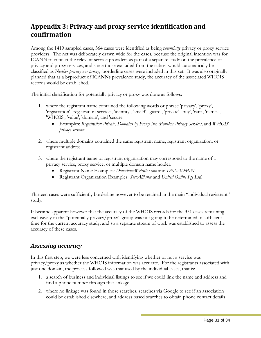# <span id="page-31-0"></span>**Appendix 3: Privacy and proxy service identification and confirmation**

Among the 1419 sampled cases, 364 cases were identified as being *potentially* privacy or proxy service providers. The net was deliberately drawn wide for the cases, because the original intention was for ICANN to contact the relevant service providers as part of a separate study on the prevalence of privacy and proxy services, and since those excluded from the subset would automatically be classified as *Neither privacy nor proxy*, borderline cases were included in this set. It was also originally planned that as a byproduct of ICANNs prevalence study, the accuracy of the associated WHOIS records would be established.

The initial classification for potentially privacy or proxy was done as follows:

- 1. where the registrant name contained the following words or phrase 'privacy', 'proxy', 'registration', 'registration service', 'identity', 'shield', 'guard', 'private', 'buy', 'rare', 'names', 'WHOIS', 'value', 'domain', and 'secure'
	- Examples: *Registration Private*, *Domains by Proxy Inc, Moniker Privacy Services*, and *WHOIS privacy services*.
- 2. where multiple domains contained the same registrant name, registrant organization, or registrant address.
- 3. where the registrant name or registrant organization may correspond to the name of a privacy service, proxy service, or multiple domain name holder.
	- Registrant Name Examples: *DowntownWebsites.com* and *DNSADMIN*
	- Registrant Organization Examples: *ServAlliance* and *United Online Pty Ltd*.

Thirteen cases were sufficiently borderline however to be retained in the main "individual registrant" study.

It became apparent however that the accuracy of the WHOIS records for the 351 cases remaining exclusively in the "potentially privacy/proxy" group was not going to be determined in sufficient time for the current accuracy study, and so a separate stream of work was established to assess the accuracy of these cases.

### *Assessing accuracy*

In this first step, we were less concerned with identifying whether or not a service was privacy/proxy as whether the WHOIS information was accurate. For the registrants associated with just one domain, the process followed was that used by the individual cases, that is:

- 1. a search of business and individual listings to see if we could link the name and address and find a phone number through that linkage,
- 2. where no linkage was found in those searches, searches via Google to see if an association could be established elsewhere, and address based searches to obtain phone contact details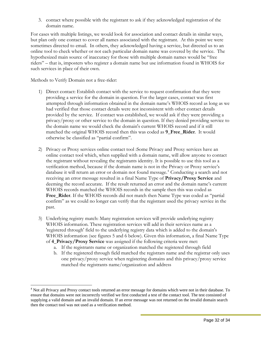3. contact where possible with the registrant to ask if they acknowledged registration of the domain name.

For cases with multiple listings, we would look for association and contact details in similar ways, but plan only one contact to cover all names associated with the registrant. At this point we were sometimes directed to email. In others, they acknowledged having a service, but directed us to an online tool to check whether or not each particular domain name was covered by the service. The hypothesized main source of inaccuracy for those with multiple domain names would be "free riders" – that is, imposters who register a domain name but use information found in WHOIS for such services in place of their own.

Methods to Verify Domain not a free-rider:

 $\overline{a}$ 

- 1) Direct contact: Establish contact with the service to request confirmation that they were providing a service for the domain in question. For the larger cases, contact was first attempted through information obtained in the domain name's WHOIS record as long as we had verified that those contact details were not inconsistent with other contact details provided by the service. If contact was established, we would ask if they were providing a privacy/proxy or other service to the domain in question. If they denied providing service to the domain name we would check the domain's current WHOIS record and if it still matched the original WHOIS record then this was coded as **9\_Free\_Rider**. It would otherwise be classified as "partial confirm".
- 2) Privacy or Proxy services online contact tool :Some Privacy and Proxy services have an online contact tool which, when supplied with a domain name, will allow anyone to contact the registrant without revealing the registrants identity. It is possible to use this tool as a verification method, because if the domain name is not in the Privacy or Proxy service's database it will return an error or domain not found message.<sup>[4](#page-32-0)</sup> Conducting a search and not receiving an error message resulted in a final Name Type of **Privacy/Proxy Service** and deeming the record accurate. If the result returned an error and the domain name's current WHOIS records matched the WHOIS records in the sample then this was coded as **Free\_Rider**. If the WHOIS records did not match then Name Type was coded as "partial confirm" as we could no longer can verify that the registrant used the privacy service in the past.
- 3) Underlying registry match: Many registration services will provide underlying registry WHOIS information. These registration services will add in their services name as a 'registered through' field to the underlying registry data which is added to the domain's WHOIS information (see figures 5 and 6 below). Given this information, a final Name Type of **4\_Privacy/Proxy Service** was assigned if the following criteria were met:
	- a. If the registrants name or organization matched the registered through field
	- b. If the registered through field matched the registrars name and the registrar only uses one privacy/proxy service when registering domains and this privacy/proxy service matched the registrants name/organization and address

<span id="page-32-0"></span><sup>&</sup>lt;sup>4</sup> Not all Privacy and Proxy contact tools returned an error message for domains which were not in their database. To ensure that domains were not incorrectly verified we first conducted a test of the contact tool. The test consisted of supplying a valid domain and an invalid domain. If an error message was not returned on the invalid domain search then the contact tool was not used as a verification method.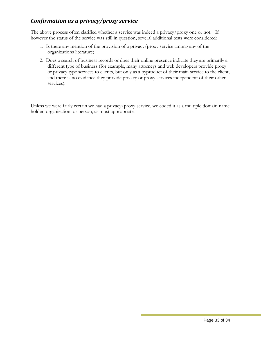# <span id="page-33-0"></span>*Confirmation as a privacy/proxy service*

The above process often clarified whether a service was indeed a privacy/proxy one or not. If however the status of the service was still in question, several additional tests were considered:

- 1. Is there any mention of the provision of a privacy/proxy service among any of the organizations literature;
- 2. Does a search of business records or does their online presence indicate they are primarily a different type of business (for example, many attorneys and web developers provide proxy or privacy type services to clients, but only as a byproduct of their main service to the client, and there is no evidence they provide privacy or proxy services independent of their other services).

Unless we were fairly certain we had a privacy/proxy service, we coded it as a multiple domain name holder, organization, or person, as most appropriate.